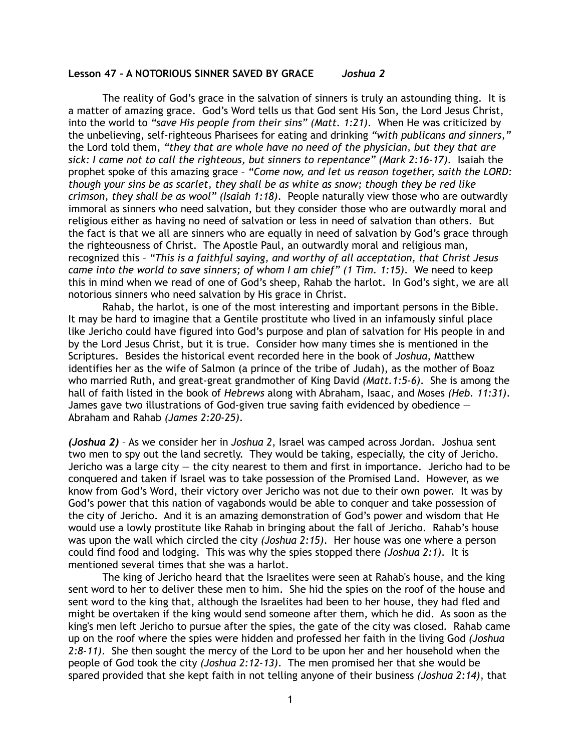## **Lesson 47 – A NOTORIOUS SINNER SAVED BY GRACE** *Joshua 2*

 The reality of God's grace in the salvation of sinners is truly an astounding thing. It is a matter of amazing grace. God's Word tells us that God sent His Son, the Lord Jesus Christ, into the world to *"save His people from their sins" (Matt. 1:21)*. When He was criticized by the unbelieving, self-righteous Pharisees for eating and drinking *"with publicans and sinners,"* the Lord told them, *"they that are whole have no need of the physician, but they that are sick: I came not to call the righteous, but sinners to repentance" (Mark 2:16-17)*. Isaiah the prophet spoke of this amazing grace – *"Come now, and let us reason together, saith the LORD: though your sins be as scarlet, they shall be as white as snow; though they be red like crimson, they shall be as wool" (Isaiah 1:18)*. People naturally view those who are outwardly immoral as sinners who need salvation, but they consider those who are outwardly moral and religious either as having no need of salvation or less in need of salvation than others. But the fact is that we all are sinners who are equally in need of salvation by God's grace through the righteousness of Christ. The Apostle Paul, an outwardly moral and religious man, recognized this – *"This is a faithful saying, and worthy of all acceptation, that Christ Jesus came into the world to save sinners; of whom I am chief" (1 Tim. 1:15)*. We need to keep this in mind when we read of one of God's sheep, Rahab the harlot. In God's sight, we are all notorious sinners who need salvation by His grace in Christ.

Rahab, the harlot, is one of the most interesting and important persons in the Bible. It may be hard to imagine that a Gentile prostitute who lived in an infamously sinful place like Jericho could have figured into God's purpose and plan of salvation for His people in and by the Lord Jesus Christ, but it is true. Consider how many times she is mentioned in the Scriptures. Besides the historical event recorded here in the book of *Joshua*, Matthew identifies her as the wife of Salmon (a prince of the tribe of Judah), as the mother of Boaz who married Ruth, and great-great grandmother of King David *(Matt.1:5-6)*. She is among the hall of faith listed in the book of *Hebrews* along with Abraham, Isaac, and Moses *(Heb. 11:31)*. James gave two illustrations of God-given true saving faith evidenced by obedience  $-$ Abraham and Rahab *(James 2:20-25)*.

*(Joshua 2)* – As we consider her in *Joshua 2*, Israel was camped across Jordan. Joshua sent two men to spy out the land secretly. They would be taking, especially, the city of Jericho. Jericho was a large city  $-$  the city nearest to them and first in importance. Jericho had to be conquered and taken if Israel was to take possession of the Promised Land. However, as we know from God's Word, their victory over Jericho was not due to their own power. It was by God's power that this nation of vagabonds would be able to conquer and take possession of the city of Jericho. And it is an amazing demonstration of God's power and wisdom that He would use a lowly prostitute like Rahab in bringing about the fall of Jericho. Rahab's house was upon the wall which circled the city *(Joshua 2:15)*. Her house was one where a person could find food and lodging. This was why the spies stopped there *(Joshua 2:1)*. It is mentioned several times that she was a harlot.

The king of Jericho heard that the Israelites were seen at Rahab's house, and the king sent word to her to deliver these men to him. She hid the spies on the roof of the house and sent word to the king that, although the Israelites had been to her house, they had fled and might be overtaken if the king would send someone after them, which he did. As soon as the king's men left Jericho to pursue after the spies, the gate of the city was closed. Rahab came up on the roof where the spies were hidden and professed her faith in the living God *(Joshua 2:8-11)*. She then sought the mercy of the Lord to be upon her and her household when the people of God took the city *(Joshua 2:12-13)*. The men promised her that she would be spared provided that she kept faith in not telling anyone of their business *(Joshua 2:14)*, that